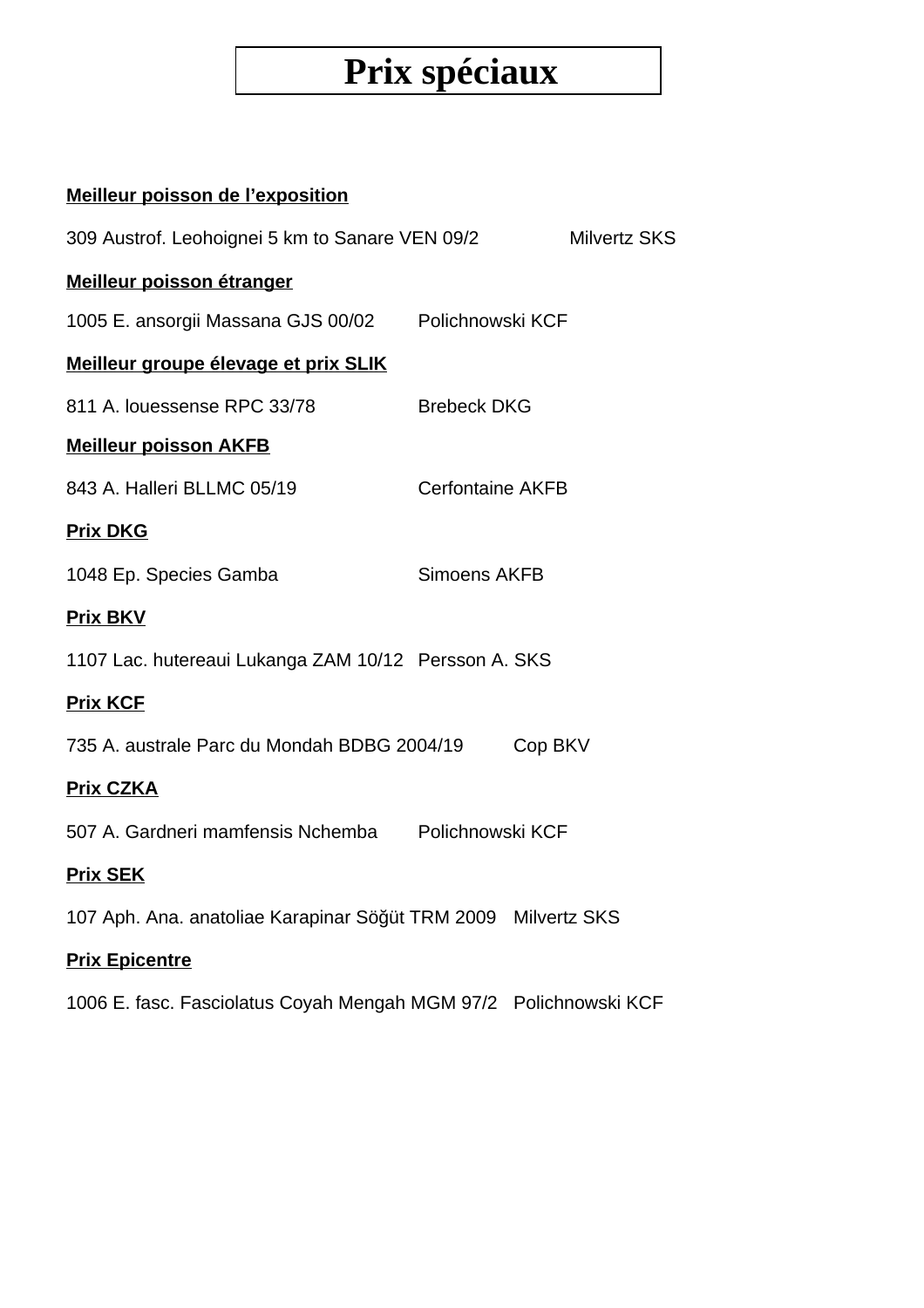# **Prix spéciaux**

#### **Meilleur poisson de l'exposition**

| 309 Austrof. Leohoignei 5 km to Sanare VEN 09/2                  |                         | <b>Milvertz SKS</b> |
|------------------------------------------------------------------|-------------------------|---------------------|
| Meilleur poisson étranger                                        |                         |                     |
| 1005 E. ansorgii Massana GJS 00/02 Polichnowski KCF              |                         |                     |
| Meilleur groupe élevage et prix SLIK                             |                         |                     |
| 811 A. louessense RPC 33/78                                      | <b>Brebeck DKG</b>      |                     |
| <b>Meilleur poisson AKFB</b>                                     |                         |                     |
| 843 A. Halleri BLLMC 05/19                                       | <b>Cerfontaine AKFB</b> |                     |
| <b>Prix DKG</b>                                                  |                         |                     |
| 1048 Ep. Species Gamba                                           | <b>Simoens AKFB</b>     |                     |
| <b>Prix BKV</b>                                                  |                         |                     |
| 1107 Lac. hutereaui Lukanga ZAM 10/12 Persson A. SKS             |                         |                     |
| <b>Prix KCF</b>                                                  |                         |                     |
| 735 A. australe Parc du Mondah BDBG 2004/19                      |                         | Cop BKV             |
| <b>Prix CZKA</b>                                                 |                         |                     |
| 507 A. Gardneri mamfensis Nchemba Polichnowski KCF               |                         |                     |
| <b>Prix SEK</b>                                                  |                         |                     |
| 107 Aph. Ana. anatoliae Karapinar Söğüt TRM 2009 Milvertz SKS    |                         |                     |
| <b>Prix Epicentre</b>                                            |                         |                     |
| 1006 E. fasc. Fasciolatus Coyah Mengah MGM 97/2 Polichnowski KCF |                         |                     |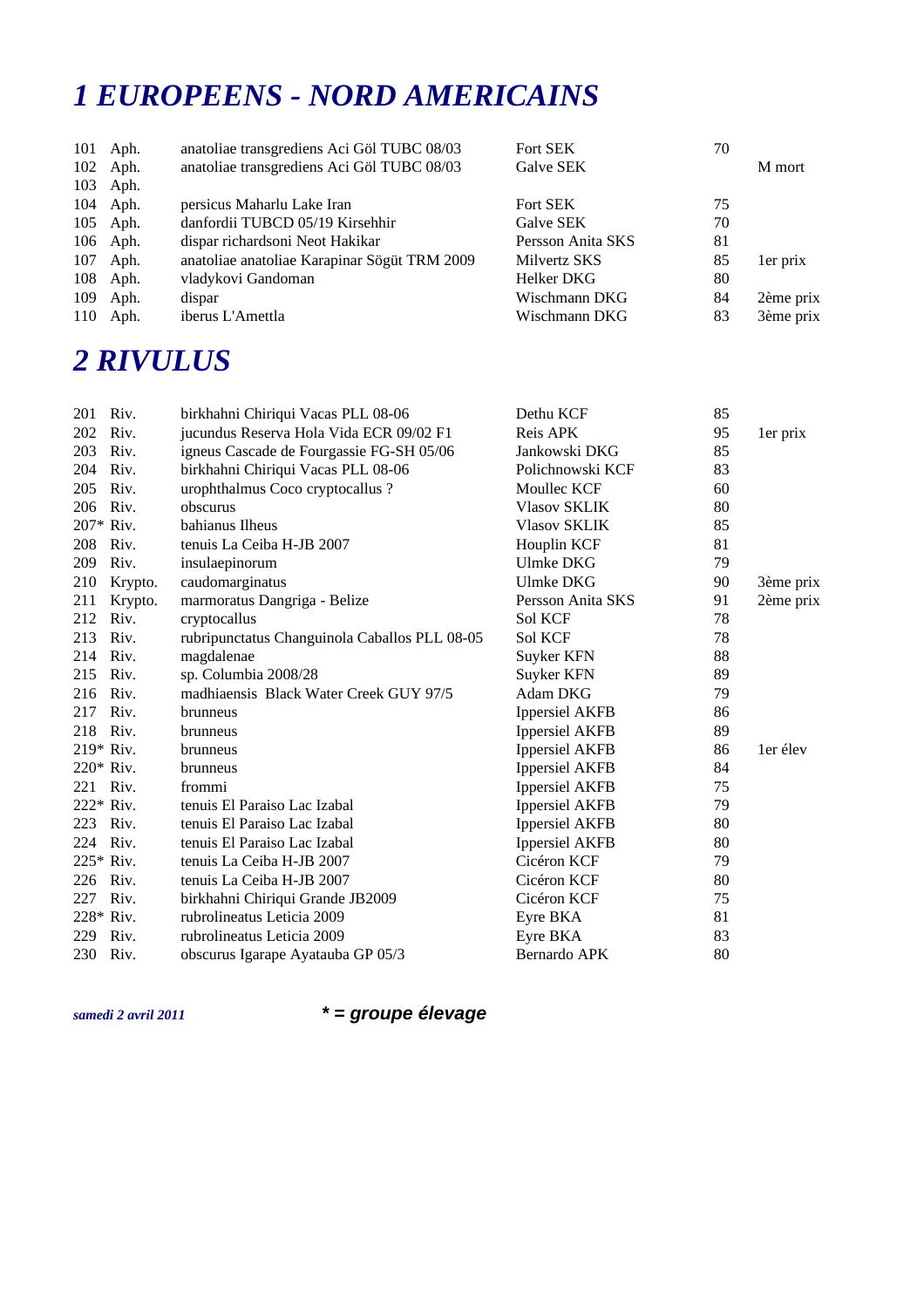#### *1 EUROPEENS - NORD AMERICAINS*

|     | 101 Aph. | anatoliae transgrediens Aci Göl TUBC 08/03   | Fort SEK          | 70 |           |
|-----|----------|----------------------------------------------|-------------------|----|-----------|
|     | 102 Aph. | anatoliae transgrediens Aci Göl TUBC 08/03   | Galve SEK         |    | M mort    |
|     | 103 Aph. |                                              |                   |    |           |
|     | 104 Aph. | persicus Maharlu Lake Iran                   | Fort SEK          | 75 |           |
|     | 105 Aph. | danfordii TUBCD 05/19 Kirsehhir              | Galve SEK         | 70 |           |
|     | 106 Aph. | dispar richardsoni Neot Hakikar              | Persson Anita SKS | 81 |           |
|     | 107 Aph. | anatoliae anatoliae Karapinar Sögüt TRM 2009 | Milvertz SKS      | 85 | 1er prix  |
| 108 | Aph.     | vladykovi Gandoman                           | Helker DKG        | 80 |           |
| 109 | Aph.     | dispar                                       | Wischmann DKG     | 84 | 2ème prix |
|     | 110 Aph. | iberus L'Amettla                             | Wischmann DKG     | 83 | 3ème prix |

#### *2 RIVULUS*

| 201       | Riv.    | birkhahni Chiriqui Vacas PLL 08-06            | Dethu KCF             | 85 |           |
|-----------|---------|-----------------------------------------------|-----------------------|----|-----------|
| 202       | Riv.    | jucundus Reserva Hola Vida ECR 09/02 F1       | Reis APK              | 95 | 1er prix  |
| 203       | Riv.    | igneus Cascade de Fourgassie FG-SH 05/06      | Jankowski DKG         | 85 |           |
| 204       | Riv.    | birkhahni Chiriqui Vacas PLL 08-06            | Polichnowski KCF      | 83 |           |
| 205       | Riv.    | urophthalmus Coco cryptocallus ?              | Moullec KCF           | 60 |           |
| 206       | Riv.    | obscurus                                      | <b>Vlasov SKLIK</b>   | 80 |           |
| 207* Riv. |         | bahianus Ilheus                               | <b>Vlasov SKLIK</b>   | 85 |           |
| 208       | Riv.    | tenuis La Ceiba H-JB 2007                     | Houplin KCF           | 81 |           |
| 209       | Riv.    | insulaepinorum                                | <b>Ulmke DKG</b>      | 79 |           |
| 210       | Krypto. | caudomarginatus                               | <b>Ulmke DKG</b>      | 90 | 3ème prix |
| 211       | Krypto. | marmoratus Dangriga - Belize                  | Persson Anita SKS     | 91 | 2ème prix |
| 212       | Riv.    | cryptocallus                                  | Sol KCF               | 78 |           |
| 213       | Riv.    | rubripunctatus Changuinola Caballos PLL 08-05 | Sol KCF               | 78 |           |
| 214       | Riv.    | magdalenae                                    | Suyker KFN            | 88 |           |
| 215 Riv.  |         | sp. Columbia 2008/28                          | Suyker KFN            | 89 |           |
| 216       | Riv.    | madhiaensis Black Water Creek GUY 97/5        | Adam DKG              | 79 |           |
| 217       | Riv.    | brunneus                                      | <b>Ippersiel AKFB</b> | 86 |           |
| 218       | Riv.    | brunneus                                      | <b>Ippersiel AKFB</b> | 89 |           |
| 219* Riv. |         | brunneus                                      | <b>Ippersiel AKFB</b> | 86 | 1er élev  |
| 220* Riv. |         | brunneus                                      | <b>Ippersiel AKFB</b> | 84 |           |
| 221 Riv.  |         | frommi                                        | <b>Ippersiel AKFB</b> | 75 |           |
| 222* Riv. |         | tenuis El Paraiso Lac Izabal                  | <b>Ippersiel AKFB</b> | 79 |           |
| 223       | Riv.    | tenuis El Paraiso Lac Izabal                  | <b>Ippersiel AKFB</b> | 80 |           |
| 224 Riv.  |         | tenuis El Paraiso Lac Izabal                  | <b>Ippersiel AKFB</b> | 80 |           |
| 225* Riv. |         | tenuis La Ceiba H-JB 2007                     | Cicéron KCF           | 79 |           |
| 226       | Riv.    | tenuis La Ceiba H-JB 2007                     | Cicéron KCF           | 80 |           |
| 227       | Riv.    | birkhahni Chiriqui Grande JB2009              | Cicéron KCF           | 75 |           |
| 228* Riv. |         | rubrolineatus Leticia 2009                    | Eyre BKA              | 81 |           |
| 229       | Riv.    | rubrolineatus Leticia 2009                    | Eyre BKA              | 83 |           |
| 230 Riv.  |         | obscurus Igarape Ayatauba GP 05/3             | Bernardo APK          | 80 |           |
|           |         |                                               |                       |    |           |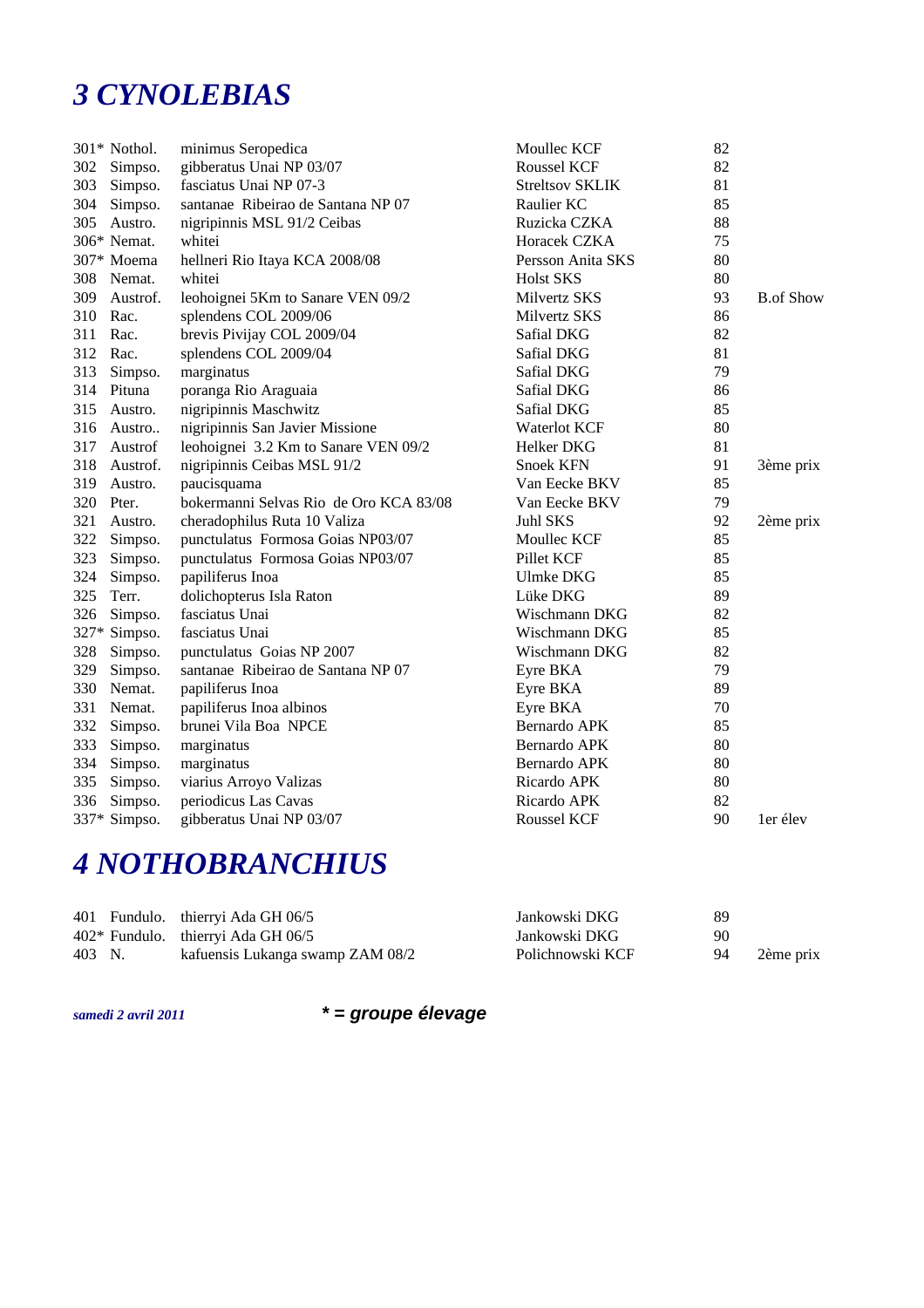#### *3 CYNOLEBIAS*

|     | 301* Nothol. | minimus Seropedica                     | Moullec KCF            | 82 |                  |
|-----|--------------|----------------------------------------|------------------------|----|------------------|
|     | 302 Simpso.  | gibberatus Unai NP 03/07               | Roussel KCF            | 82 |                  |
| 303 | Simpso.      | fasciatus Unai NP 07-3                 | <b>Streltsov SKLIK</b> | 81 |                  |
| 304 | Simpso.      | santanae Ribeirao de Santana NP 07     | Raulier KC             | 85 |                  |
| 305 | Austro.      | nigripinnis MSL 91/2 Ceibas            | Ruzicka CZKA           | 88 |                  |
|     | 306* Nemat.  | whitei                                 | Horacek CZKA           | 75 |                  |
|     | 307* Moema   | hellneri Rio Itaya KCA 2008/08         | Persson Anita SKS      | 80 |                  |
| 308 | Nemat.       | whitei                                 | <b>Holst SKS</b>       | 80 |                  |
| 309 | Austrof.     | leohoignei 5Km to Sanare VEN 09/2      | Milvertz SKS           | 93 | <b>B.of Show</b> |
| 310 | Rac.         | splendens COL 2009/06                  | Milvertz SKS           | 86 |                  |
| 311 | Rac.         | brevis Pivijay COL 2009/04             | Safial DKG             | 82 |                  |
| 312 | Rac.         | splendens COL 2009/04                  | Safial DKG             | 81 |                  |
| 313 | Simpso.      | marginatus                             | Safial DKG             | 79 |                  |
| 314 | Pituna       | poranga Rio Araguaia                   | Safial DKG             | 86 |                  |
| 315 | Austro.      | nigripinnis Maschwitz                  | Safial DKG             | 85 |                  |
| 316 | Austro       | nigripinnis San Javier Missione        | Waterlot KCF           | 80 |                  |
| 317 | Austrof      | leohoignei 3.2 Km to Sanare VEN 09/2   | Helker DKG             | 81 |                  |
| 318 | Austrof.     | nigripinnis Ceibas MSL 91/2            | <b>Snoek KFN</b>       | 91 | 3ème prix        |
| 319 | Austro.      | paucisquama                            | Van Eecke BKV          | 85 |                  |
| 320 | Pter.        | bokermanni Selvas Rio de Oro KCA 83/08 | Van Eecke BKV          | 79 |                  |
| 321 | Austro.      | cheradophilus Ruta 10 Valiza           | Juhl SKS               | 92 | 2ème prix        |
| 322 | Simpso.      | punctulatus Formosa Goias NP03/07      | Moullec KCF            | 85 |                  |
| 323 | Simpso.      | punctulatus Formosa Goias NP03/07      | Pillet KCF             | 85 |                  |
| 324 | Simpso.      | papiliferus Inoa                       | Ulmke DKG              | 85 |                  |
| 325 | Terr.        | dolichopterus Isla Raton               | Lüke DKG               | 89 |                  |
| 326 | Simpso.      | fasciatus Unai                         | Wischmann DKG          | 82 |                  |
|     | 327* Simpso. | fasciatus Unai                         | Wischmann DKG          | 85 |                  |
| 328 | Simpso.      | punctulatus Goias NP 2007              | Wischmann DKG          | 82 |                  |
| 329 | Simpso.      | santanae Ribeirao de Santana NP 07     | Eyre BKA               | 79 |                  |
| 330 | Nemat.       | papiliferus Inoa                       | Eyre BKA               | 89 |                  |
| 331 | Nemat.       | papiliferus Inoa albinos               | Eyre BKA               | 70 |                  |
| 332 | Simpso.      | brunei Vila Boa NPCE                   | Bernardo APK           | 85 |                  |
| 333 | Simpso.      | marginatus                             | Bernardo APK           | 80 |                  |
| 334 | Simpso.      | marginatus                             | Bernardo APK           | 80 |                  |
| 335 | Simpso.      | viarius Arroyo Valizas                 | Ricardo APK            | 80 |                  |
| 336 | Simpso.      | periodicus Las Cavas                   | Ricardo APK            | 82 |                  |
|     | 337* Simpso. | gibberatus Unai NP 03/07               | Roussel KCF            | 90 | 1er élev         |

# *4 NOTHOBRANCHIUS*

|        | 401 Fundulo. thierryi Ada GH 06/5    | Jankowski DKG    | 89 |           |
|--------|--------------------------------------|------------------|----|-----------|
|        | $402*$ Fundulo. thierryi Ada GH 06/5 | Jankowski DKG    | 90 |           |
| 403 N. | kafuensis Lukanga swamp ZAM 08/2     | Polichnowski KCF | 94 | 2ème prix |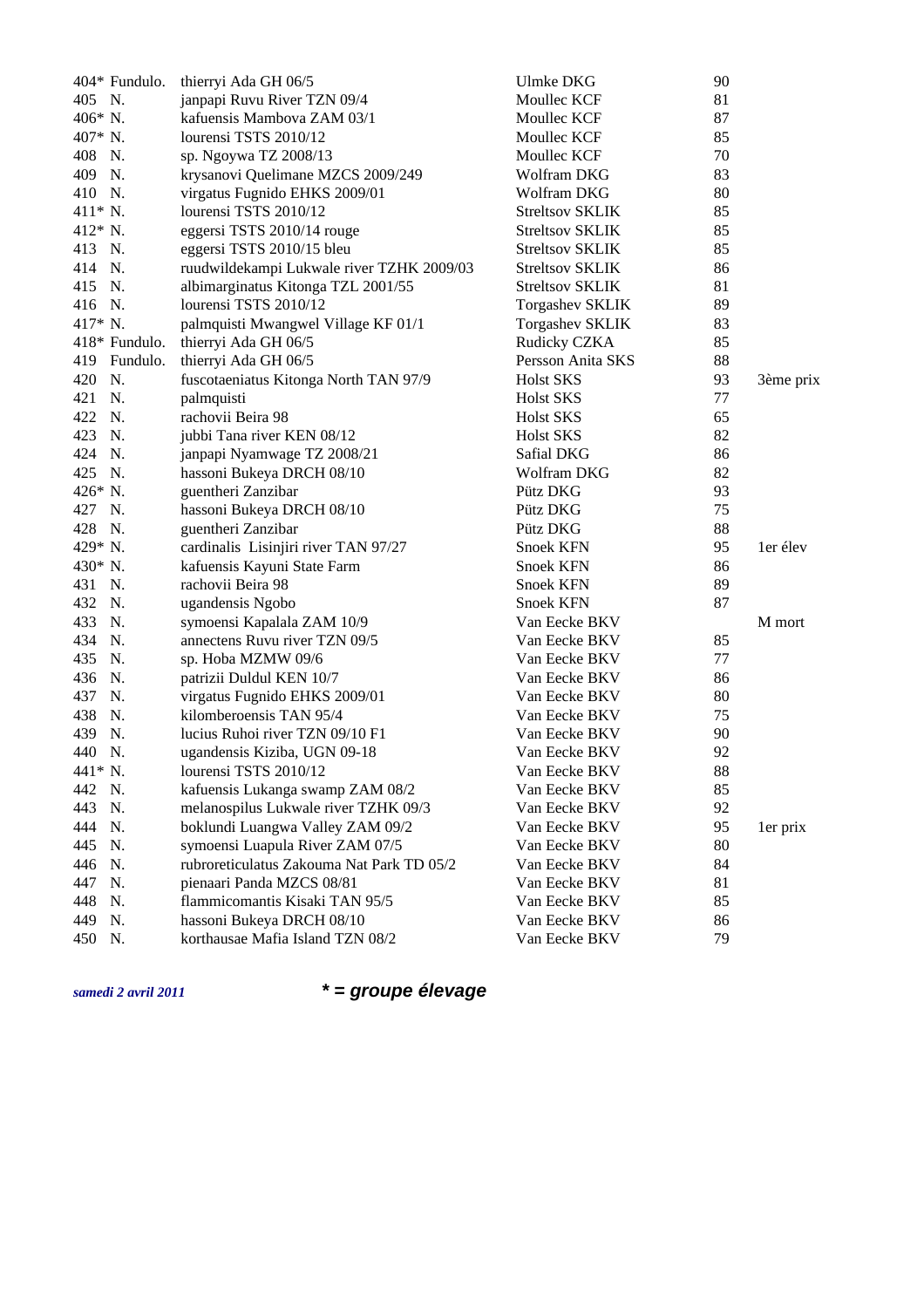| 404* Fundulo. | thierryi Ada GH 06/5                      | <b>Ulmke DKG</b>       | 90 |           |
|---------------|-------------------------------------------|------------------------|----|-----------|
| 405 N.        | janpapi Ruvu River TZN 09/4               | Moullec KCF            | 81 |           |
| 406* N.       | kafuensis Mambova ZAM 03/1                | Moullec KCF            | 87 |           |
| 407* N.       | lourensi TSTS 2010/12                     | Moullec KCF            | 85 |           |
| 408<br>N.     | sp. Ngoywa TZ 2008/13                     | Moullec KCF            | 70 |           |
| 409<br>N.     | krysanovi Quelimane MZCS 2009/249         | Wolfram DKG            | 83 |           |
| 410 N.        | virgatus Fugnido EHKS 2009/01             | Wolfram DKG            | 80 |           |
| 411* N.       | lourensi TSTS 2010/12                     | <b>Streltsov SKLIK</b> | 85 |           |
| 412* N.       | eggersi TSTS 2010/14 rouge                | <b>Streltsov SKLIK</b> | 85 |           |
| 413 N.        | eggersi TSTS 2010/15 bleu                 | <b>Streltsov SKLIK</b> | 85 |           |
| 414 N.        | ruudwildekampi Lukwale river TZHK 2009/03 | <b>Streltsov SKLIK</b> | 86 |           |
| 415 N.        | albimarginatus Kitonga TZL 2001/55        | Streltsov SKLIK        | 81 |           |
| 416 N.        | lourensi TSTS 2010/12                     | <b>Torgashev SKLIK</b> | 89 |           |
| 417* N.       | palmquisti Mwangwel Village KF 01/1       | <b>Torgashev SKLIK</b> | 83 |           |
| 418* Fundulo. | thierryi Ada GH 06/5                      | Rudicky CZKA           | 85 |           |
| 419 Fundulo.  | thierryi Ada GH 06/5                      | Persson Anita SKS      | 88 |           |
| N.<br>420     | fuscotaeniatus Kitonga North TAN 97/9     | <b>Holst SKS</b>       | 93 | 3ème prix |
| 421<br>N.     | palmquisti                                | <b>Holst SKS</b>       | 77 |           |
| 422 N.        | rachovii Beira 98                         | <b>Holst SKS</b>       | 65 |           |
| 423<br>N.     | jubbi Tana river KEN 08/12                | <b>Holst SKS</b>       | 82 |           |
| 424 N.        | janpapi Nyamwage TZ 2008/21               | Safial DKG             | 86 |           |
| 425 N.        | hassoni Bukeya DRCH 08/10                 | Wolfram DKG            | 82 |           |
| 426* N.       | guentheri Zanzibar                        | Pütz DKG               | 93 |           |
| 427 N.        | hassoni Bukeya DRCH 08/10                 | Pütz DKG               | 75 |           |
| 428 N.        | guentheri Zanzibar                        | Pütz DKG               | 88 |           |
| 429* N.       | cardinalis Lisinjiri river TAN 97/27      | Snoek KFN              | 95 | 1er élev  |
| 430* N.       | kafuensis Kayuni State Farm               | Snoek KFN              | 86 |           |
| 431 N.        | rachovii Beira 98                         | Snoek KFN              | 89 |           |
| 432 N.        | ugandensis Ngobo                          | <b>Snoek KFN</b>       | 87 |           |
| 433<br>N.     | symoensi Kapalala ZAM 10/9                | Van Eecke BKV          |    | M mort    |
| 434<br>N.     | annectens Ruvu river TZN 09/5             | Van Eecke BKV          | 85 |           |
| 435<br>N.     | sp. Hoba MZMW 09/6                        | Van Eecke BKV          | 77 |           |
| 436<br>N.     | patrizii Duldul KEN 10/7                  | Van Eecke BKV          | 86 |           |
| 437<br>N.     | virgatus Fugnido EHKS 2009/01             | Van Eecke BKV          | 80 |           |
| 438<br>N.     | kilomberoensis TAN 95/4                   | Van Eecke BKV          | 75 |           |
| 439<br>N.     | lucius Ruhoi river TZN 09/10 F1           | Van Eecke BKV          | 90 |           |
| 440 N.        | ugandensis Kiziba, UGN 09-18              | Van Eecke BKV          | 92 |           |
| 441* N.       | lourensi TSTS 2010/12                     | Van Eecke BKV          | 88 |           |
| 442 N.        | kafuensis Lukanga swamp ZAM 08/2          | Van Eecke BKV          | 85 |           |
| N.<br>443     | melanospilus Lukwale river TZHK 09/3      | Van Eecke BKV          | 92 |           |
| N.<br>444     | boklundi Luangwa Valley ZAM 09/2          | Van Eecke BKV          | 95 | 1er prix  |
| 445<br>N.     | symoensi Luapula River ZAM 07/5           | Van Eecke BKV          | 80 |           |
| 446<br>N.     | rubroreticulatus Zakouma Nat Park TD 05/2 | Van Eecke BKV          | 84 |           |
| 447<br>N.     | pienaari Panda MZCS 08/81                 | Van Eecke BKV          | 81 |           |
| 448<br>N.     | flammicomantis Kisaki TAN 95/5            | Van Eecke BKV          | 85 |           |
| 449<br>N.     | hassoni Bukeya DRCH 08/10                 | Van Eecke BKV          | 86 |           |
| 450<br>N.     | korthausae Mafia Island TZN 08/2          | Van Eecke BKV          | 79 |           |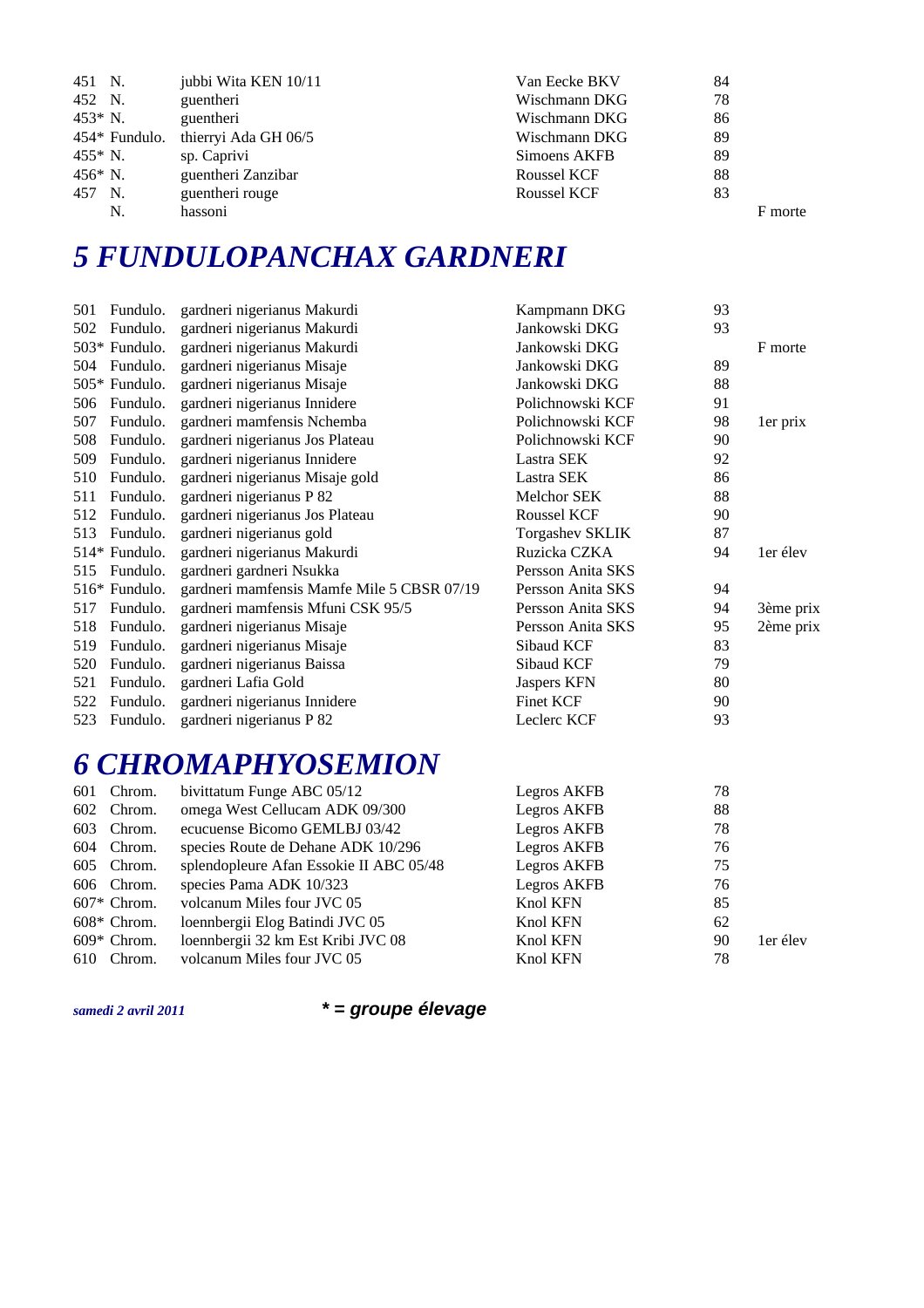| 451 N.        | jubbi Wita KEN 10/11 | Van Eecke BKV | 84      |
|---------------|----------------------|---------------|---------|
| 452 N.        | guentheri            | Wischmann DKG | 78      |
| 453* N.       | guentheri            | Wischmann DKG | 86      |
| 454* Fundulo. | thierryi Ada GH 06/5 | Wischmann DKG | 89      |
| 455* N.       | sp. Caprivi          | Simoens AKFB  | 89      |
| 456* N.       | guentheri Zanzibar   | Roussel KCF   | 88      |
| 457 N.        | guentheri rouge      | Roussel KCF   | 83      |
| N.            | hassoni              |               | F morte |

# *5 FUNDULOPANCHAX GARDNERI*

| 501 | Fundulo.      | gardneri nigerianus Makurdi                | Kampmann DKG           | 93 |           |
|-----|---------------|--------------------------------------------|------------------------|----|-----------|
| 502 | Fundulo.      | gardneri nigerianus Makurdi                | Jankowski DKG          | 93 |           |
|     | 503* Fundulo. | gardneri nigerianus Makurdi                | Jankowski DKG          |    | F morte   |
| 504 | Fundulo.      | gardneri nigerianus Misaje                 | Jankowski DKG          | 89 |           |
|     | 505* Fundulo. | gardneri nigerianus Misaje                 | Jankowski DKG          | 88 |           |
| 506 | Fundulo.      | gardneri nigerianus Innidere               | Polichnowski KCF       | 91 |           |
| 507 | Fundulo.      | gardneri mamfensis Nchemba                 | Polichnowski KCF       | 98 | 1er prix  |
| 508 | Fundulo.      | gardneri nigerianus Jos Plateau            | Polichnowski KCF       | 90 |           |
| 509 | Fundulo.      | gardneri nigerianus Innidere               | Lastra SEK             | 92 |           |
| 510 | Fundulo.      | gardneri nigerianus Misaje gold            | Lastra SEK             | 86 |           |
| 511 | Fundulo.      | gardneri nigerianus P 82                   | Melchor SEK            | 88 |           |
| 512 | Fundulo.      | gardneri nigerianus Jos Plateau            | Roussel KCF            | 90 |           |
| 513 | Fundulo.      | gardneri nigerianus gold                   | <b>Torgashev SKLIK</b> | 87 |           |
|     | 514* Fundulo. | gardneri nigerianus Makurdi                | Ruzicka CZKA           | 94 | 1er élev  |
| 515 | Fundulo.      | gardneri gardneri Nsukka                   | Persson Anita SKS      |    |           |
|     | 516* Fundulo. | gardneri mamfensis Mamfe Mile 5 CBSR 07/19 | Persson Anita SKS      | 94 |           |
| 517 | Fundulo.      | gardneri mamfensis Mfuni CSK 95/5          | Persson Anita SKS      | 94 | 3ème prix |
| 518 | Fundulo.      | gardneri nigerianus Misaje                 | Persson Anita SKS      | 95 | 2ème prix |
| 519 | Fundulo.      | gardneri nigerianus Misaje                 | Sibaud KCF             | 83 |           |
| 520 | Fundulo.      | gardneri nigerianus Baissa                 | Sibaud KCF             | 79 |           |
| 521 | Fundulo.      | gardneri Lafia Gold                        | Jaspers KFN            | 80 |           |
| 522 | Fundulo.      | gardneri nigerianus Innidere               | <b>Finet KCF</b>       | 90 |           |
| 523 | Fundulo.      | gardneri nigerianus P 82                   | Leclerc KCF            | 93 |           |
|     |               |                                            |                        |    |           |
|     |               |                                            |                        |    |           |

#### *6 CHROMAPHYOSEMION*

| 601 | Chrom.        | bivittatum Funge ABC 05/12              | Legros AKFB | 78 |          |
|-----|---------------|-----------------------------------------|-------------|----|----------|
|     | 602 Chrom.    | omega West Cellucam ADK 09/300          | Legros AKFB | 88 |          |
| 603 | Chrom.        | ecucuense Bicomo GEMLBJ 03/42           | Legros AKFB | 78 |          |
|     | 604 Chrom.    | species Route de Dehane ADK 10/296      | Legros AKFB | 76 |          |
|     | 605 Chrom.    | splendopleure Afan Essokie II ABC 05/48 | Legros AKFB | 75 |          |
|     | 606 Chrom.    | species Pama ADK 10/323                 | Legros AKFB | 76 |          |
|     | $607*$ Chrom. | volcanum Miles four JVC 05              | Knol KFN    | 85 |          |
|     | $608*$ Chrom. | loennbergii Elog Batindi JVC 05         | Knol KFN    | 62 |          |
|     | $609*$ Chrom. | loennbergii 32 km Est Kribi JVC 08      | Knol KFN    | 90 | 1er élev |
| 610 | Chrom.        | volcanum Miles four JVC 05              | Knol KFN    | 78 |          |
|     |               |                                         |             |    |          |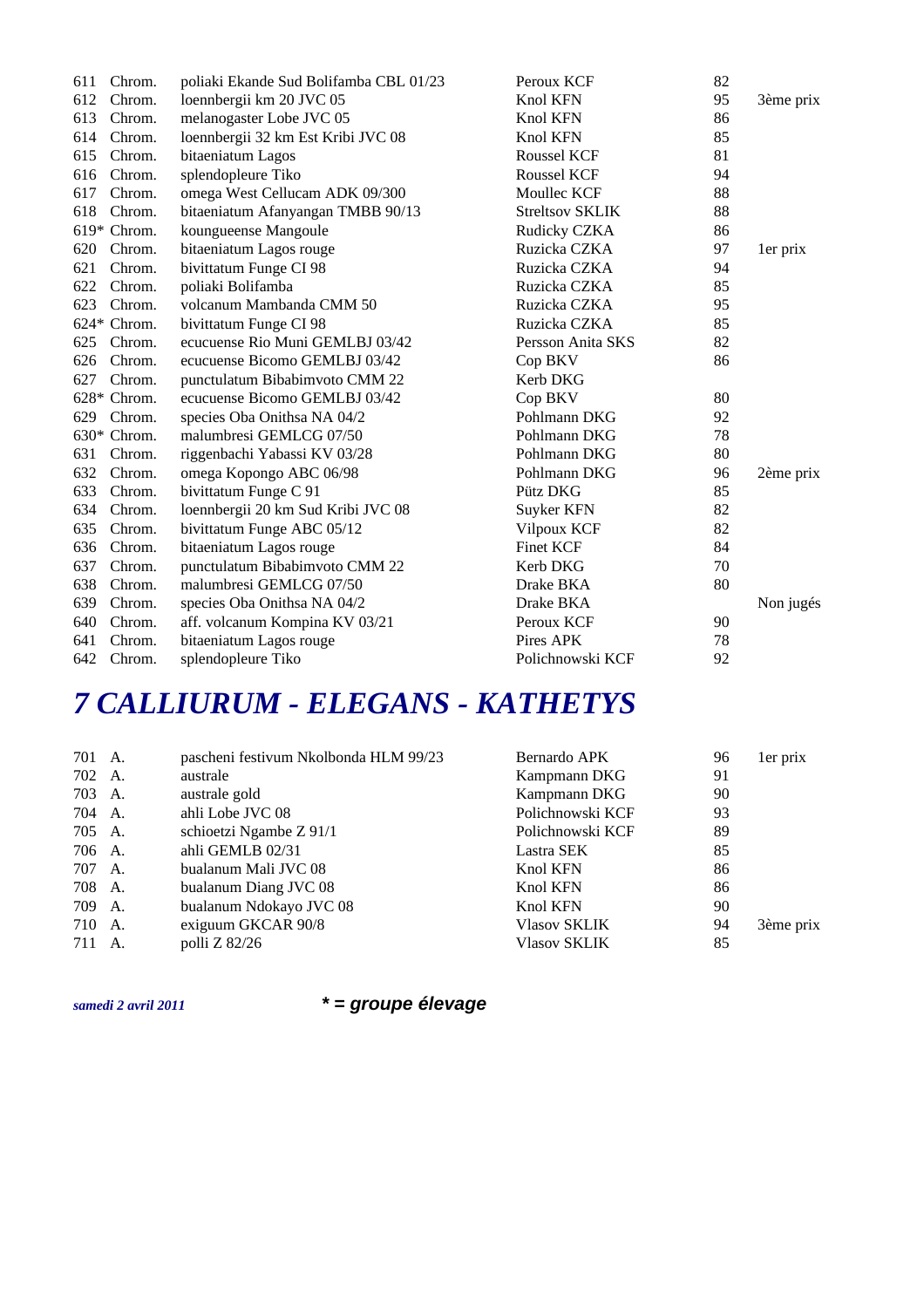| 611 | Chrom.      | poliaki Ekande Sud Bolifamba CBL 01/23 | Peroux KCF             | 82 |           |
|-----|-------------|----------------------------------------|------------------------|----|-----------|
| 612 | Chrom.      | loennbergii km 20 JVC 05               | Knol KFN               | 95 | 3ème prix |
| 613 | Chrom.      | melanogaster Lobe JVC 05               | Knol KFN               | 86 |           |
| 614 | Chrom.      | loennbergii 32 km Est Kribi JVC 08     | Knol KFN               | 85 |           |
| 615 | Chrom.      | bitaeniatum Lagos                      | <b>Roussel KCF</b>     | 81 |           |
| 616 | Chrom.      | splendopleure Tiko                     | Roussel KCF            | 94 |           |
| 617 | Chrom.      | omega West Cellucam ADK 09/300         | Moullec KCF            | 88 |           |
| 618 | Chrom.      | bitaeniatum Afanyangan TMBB 90/13      | <b>Streltsov SKLIK</b> | 88 |           |
|     | 619* Chrom. | koungueense Mangoule                   | Rudicky CZKA           | 86 |           |
| 620 | Chrom.      | bitaeniatum Lagos rouge                | Ruzicka CZKA           | 97 | 1er prix  |
| 621 | Chrom.      | bivittatum Funge CI 98                 | Ruzicka CZKA           | 94 |           |
| 622 | Chrom.      | poliaki Bolifamba                      | Ruzicka CZKA           | 85 |           |
| 623 | Chrom.      | volcanum Mambanda CMM 50               | Ruzicka CZKA           | 95 |           |
|     | 624* Chrom. | bivittatum Funge CI 98                 | Ruzicka CZKA           | 85 |           |
| 625 | Chrom.      | ecucuense Rio Muni GEMLBJ 03/42        | Persson Anita SKS      | 82 |           |
| 626 | Chrom.      | ecucuense Bicomo GEMLBJ 03/42          | Cop BKV                | 86 |           |
| 627 | Chrom.      | punctulatum Bibabimvoto CMM 22         | Kerb DKG               |    |           |
|     | 628* Chrom. | ecucuense Bicomo GEMLBJ 03/42          | Cop BKV                | 80 |           |
| 629 | Chrom.      | species Oba Onithsa NA 04/2            | Pohlmann DKG           | 92 |           |
|     | 630* Chrom. | malumbresi GEMLCG 07/50                | Pohlmann DKG           | 78 |           |
| 631 | Chrom.      | riggenbachi Yabassi KV 03/28           | Pohlmann DKG           | 80 |           |
| 632 | Chrom.      | omega Kopongo ABC 06/98                | Pohlmann DKG           | 96 | 2ème prix |
| 633 | Chrom.      | bivittatum Funge C 91                  | Pütz DKG               | 85 |           |
| 634 | Chrom.      | loennbergii 20 km Sud Kribi JVC 08     | Suyker KFN             | 82 |           |
| 635 | Chrom.      | bivittatum Funge ABC 05/12             | Vilpoux KCF            | 82 |           |
| 636 | Chrom.      | bitaeniatum Lagos rouge                | <b>Finet KCF</b>       | 84 |           |
| 637 | Chrom.      | punctulatum Bibabimvoto CMM 22         | Kerb DKG               | 70 |           |
| 638 | Chrom.      | malumbresi GEMLCG 07/50                | Drake BKA              | 80 |           |
| 639 | Chrom.      | species Oba Onithsa NA 04/2            | Drake BKA              |    | Non jugés |
| 640 | Chrom.      | aff. volcanum Kompina KV 03/21         | Peroux KCF             | 90 |           |
| 641 | Chrom.      | bitaeniatum Lagos rouge                | Pires APK              | 78 |           |
| 642 | Chrom.      | splendopleure Tiko                     | Polichnowski KCF       | 92 |           |
|     |             |                                        |                        |    |           |

### *7 CALLIURUM - ELEGANS - KATHETYS*

| 701 A. |    | pascheni festivum Nkolbonda HLM 99/23 | Bernardo APK        | 96 | 1er prix  |
|--------|----|---------------------------------------|---------------------|----|-----------|
| 702 A. |    | australe                              | Kampmann DKG        | 91 |           |
| 703 A. |    | australe gold                         | Kampmann DKG        | 90 |           |
| 704 A. |    | ahli Lobe JVC 08                      | Polichnowski KCF    | 93 |           |
| 705 A. |    | schioetzi Ngambe Z 91/1               | Polichnowski KCF    | 89 |           |
| 706 A. |    | ahli GEMLB 02/31                      | Lastra SEK          | 85 |           |
| 707 A. |    | bualanum Mali JVC 08                  | Knol KFN            | 86 |           |
| 708    | A. | bualanum Diang JVC 08                 | Knol KFN            | 86 |           |
| 709 A. |    | bualanum Ndokayo JVC 08               | Knol KFN            | 90 |           |
| 710    | A. | exiguum GKCAR 90/8                    | Vlasov SKLIK        | 94 | 3ème prix |
| 711 A. |    | polli Z 82/26                         | <b>Vlasov SKLIK</b> | 85 |           |
|        |    |                                       |                     |    |           |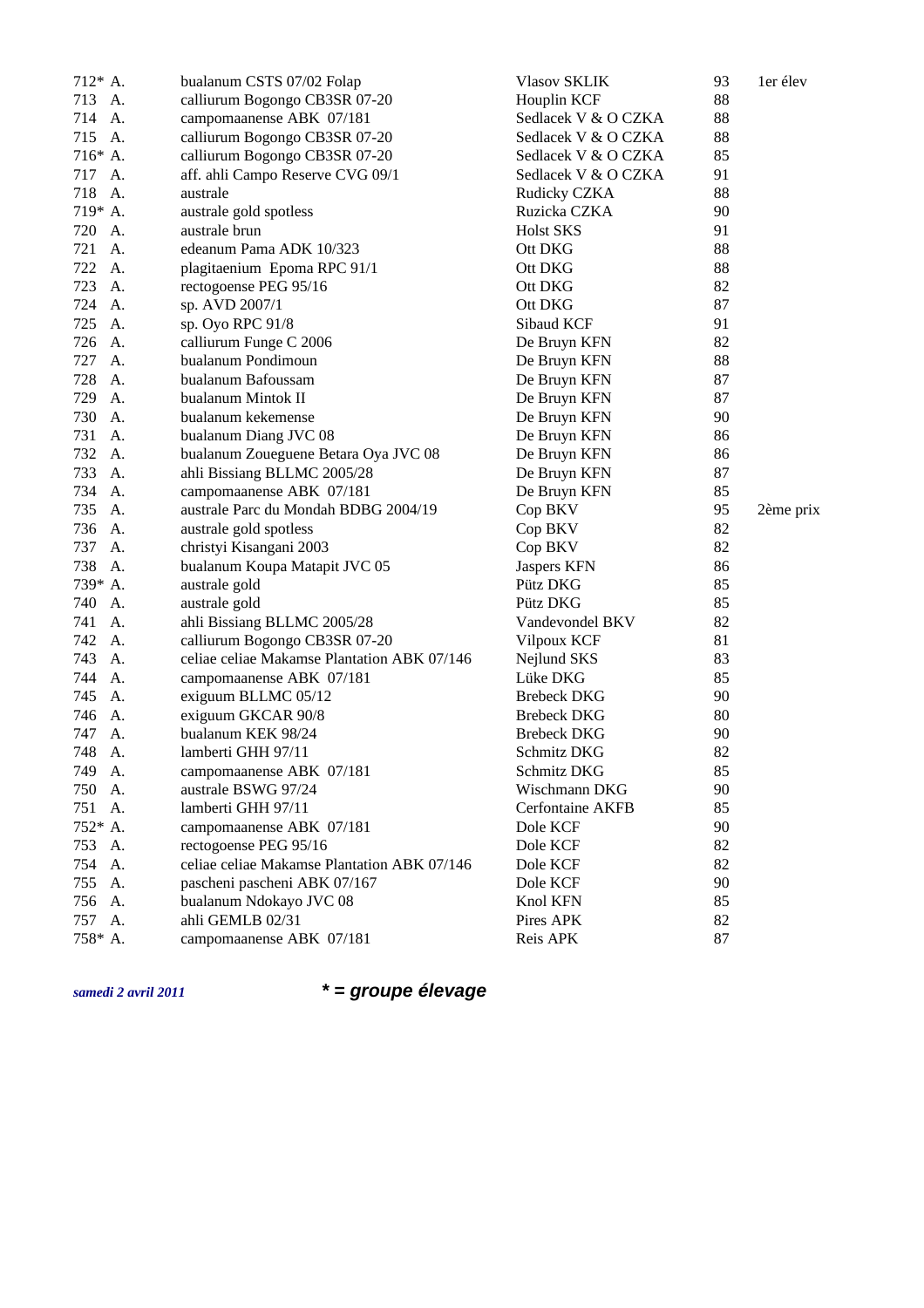| $712^*$ A. | bualanum CSTS 07/02 Folap                   | <b>Vlasov SKLIK</b> | 93 | 1er élev  |
|------------|---------------------------------------------|---------------------|----|-----------|
| 713 A.     | calliurum Bogongo CB3SR 07-20               | Houplin KCF         | 88 |           |
| 714 A.     | campomaanense ABK 07/181                    | Sedlacek V & O CZKA | 88 |           |
| 715<br>A.  | calliurum Bogongo CB3SR 07-20               | Sedlacek V & O CZKA | 88 |           |
| 716* A.    | calliurum Bogongo CB3SR 07-20               | Sedlacek V & O CZKA | 85 |           |
| 717 A.     | aff. ahli Campo Reserve CVG 09/1            | Sedlacek V & O CZKA | 91 |           |
| 718<br>A.  | australe                                    | Rudicky CZKA        | 88 |           |
| 719* A.    | australe gold spotless                      | Ruzicka CZKA        | 90 |           |
| 720<br>A.  | australe brun                               | <b>Holst SKS</b>    | 91 |           |
| 721 A.     | edeanum Pama ADK 10/323                     | Ott DKG             | 88 |           |
| 722<br>A.  | plagitaenium Epoma RPC 91/1                 | Ott DKG             | 88 |           |
| 723<br>A.  | rectogoense PEG 95/16                       | Ott DKG             | 82 |           |
| 724<br>A.  | sp. AVD 2007/1                              | Ott DKG             | 87 |           |
| 725<br>А.  | sp. Oyo RPC 91/8                            | Sibaud KCF          | 91 |           |
| 726<br>А.  | calliurum Funge C 2006                      | De Bruyn KFN        | 82 |           |
| 727<br>А.  | bualanum Pondimoun                          | De Bruyn KFN        | 88 |           |
| 728<br>А.  | bualanum Bafoussam                          | De Bruyn KFN        | 87 |           |
| 729<br>А.  | bualanum Mintok II                          | De Bruyn KFN        | 87 |           |
| 730<br>A.  | bualanum kekemense                          | De Bruyn KFN        | 90 |           |
| 731<br>A.  | bualanum Diang JVC 08                       | De Bruyn KFN        | 86 |           |
| 732<br>A.  | bualanum Zoueguene Betara Oya JVC 08        | De Bruyn KFN        | 86 |           |
| 733<br>А.  | ahli Bissiang BLLMC 2005/28                 | De Bruyn KFN        | 87 |           |
| 734<br>A.  | campomaanense ABK 07/181                    | De Bruyn KFN        | 85 |           |
| 735<br>A.  | australe Parc du Mondah BDBG 2004/19        | Cop BKV             | 95 | 2ème prix |
| 736<br>А.  | australe gold spotless                      | Cop BKV             | 82 |           |
| 737<br>А.  | christyi Kisangani 2003                     | Cop BKV             | 82 |           |
| 738<br>A.  | bualanum Koupa Matapit JVC 05               | Jaspers KFN         | 86 |           |
| 739* A.    | australe gold                               | Pütz DKG            | 85 |           |
| 740<br>A.  | australe gold                               | Pütz DKG            | 85 |           |
| 741<br>А.  | ahli Bissiang BLLMC 2005/28                 | Vandevondel BKV     | 82 |           |
| 742<br>A.  | calliurum Bogongo CB3SR 07-20               | Vilpoux KCF         | 81 |           |
| 743<br>A.  | celiae celiae Makamse Plantation ABK 07/146 | Nejlund SKS         | 83 |           |
| 744<br>А.  | campomaanense ABK 07/181                    | Lüke DKG            | 85 |           |
| 745<br>А.  | exiguum BLLMC 05/12                         | <b>Brebeck DKG</b>  | 90 |           |
| 746<br>А.  | exiguum GKCAR 90/8                          | <b>Brebeck DKG</b>  | 80 |           |
| 747<br>А.  | bualanum KEK 98/24                          | <b>Brebeck DKG</b>  | 90 |           |
| 748<br>А.  | lamberti GHH 97/11                          | Schmitz DKG         | 82 |           |
| 749 A.     | campomaanense ABK 07/181                    | Schmitz DKG         | 85 |           |
| 750 A.     | australe BSWG 97/24                         | Wischmann DKG       | 90 |           |
| 751 A.     | lamberti GHH 97/11                          | Cerfontaine AKFB    | 85 |           |
| 752* A.    | campomaanense ABK 07/181                    | Dole KCF            | 90 |           |
| 753 A.     | rectogoense PEG 95/16                       | Dole KCF            | 82 |           |
| 754 A.     | celiae celiae Makamse Plantation ABK 07/146 | Dole KCF            | 82 |           |
| 755 A.     | pascheni pascheni ABK 07/167                | Dole KCF            | 90 |           |
| 756<br>А.  | bualanum Ndokayo JVC 08                     | Knol KFN            | 85 |           |
| 757 A.     | ahli GEMLB 02/31                            | Pires APK           | 82 |           |
| 758* A.    | campomaanense ABK 07/181                    | Reis APK            | 87 |           |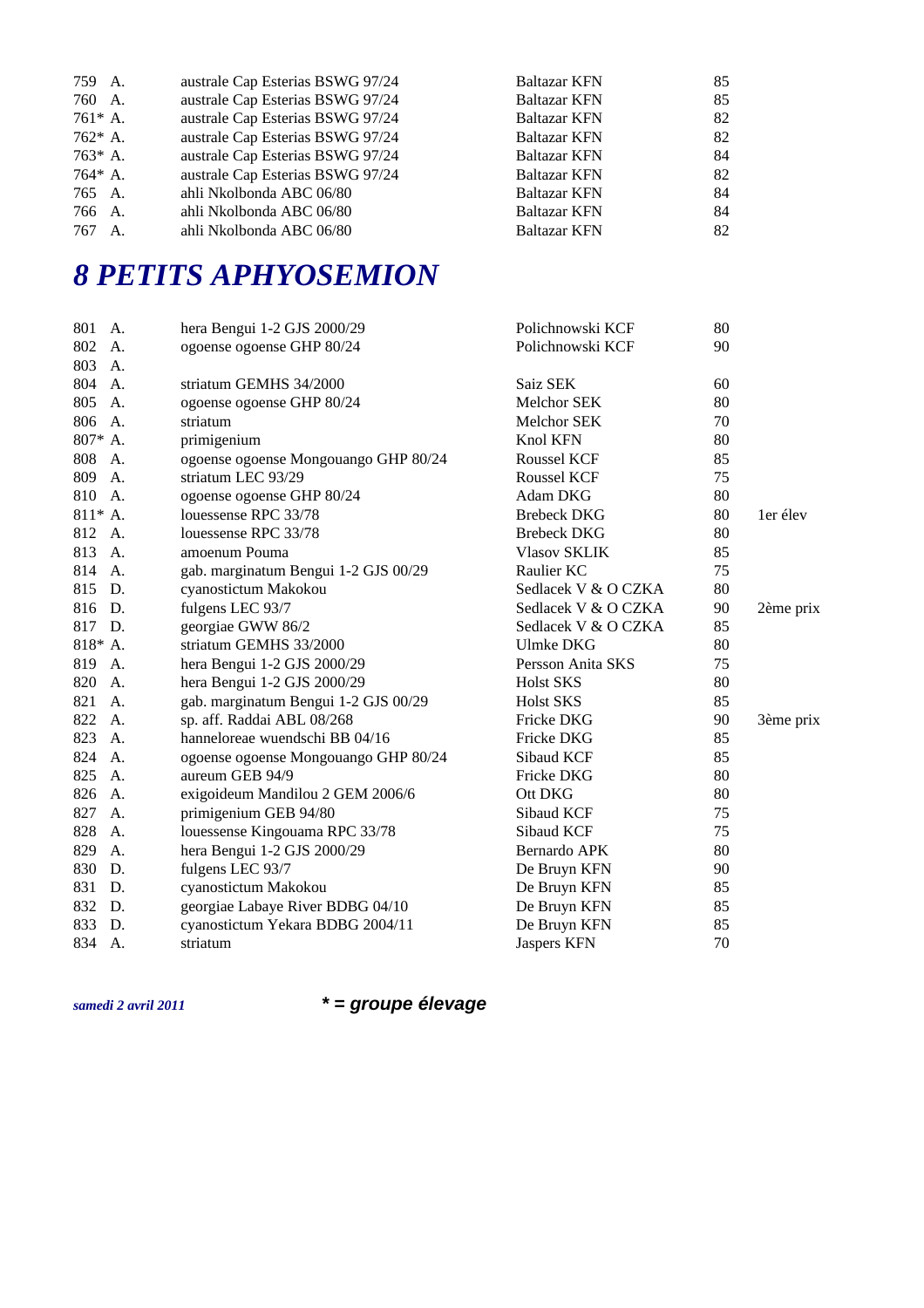| australe Cap Esterias BSWG 97/24<br><b>Baltazar KFN</b><br>760 A.<br>australe Cap Esterias BSWG 97/24<br>$761* A.$<br>Baltazar KFN<br>australe Cap Esterias BSWG 97/24<br><b>Baltazar KFN</b><br>762* A.<br>australe Cap Esterias BSWG 97/24<br>763* A.<br>Baltazar KFN<br>australe Cap Esterias BSWG 97/24<br><b>Baltazar KFN</b><br>764* A. | 85 |
|-----------------------------------------------------------------------------------------------------------------------------------------------------------------------------------------------------------------------------------------------------------------------------------------------------------------------------------------------|----|
|                                                                                                                                                                                                                                                                                                                                               |    |
|                                                                                                                                                                                                                                                                                                                                               | 82 |
|                                                                                                                                                                                                                                                                                                                                               | 82 |
|                                                                                                                                                                                                                                                                                                                                               | 84 |
|                                                                                                                                                                                                                                                                                                                                               | 82 |
| ahli Nkolbonda ABC 06/80<br><b>Baltazar KFN</b><br>765 A.                                                                                                                                                                                                                                                                                     | 84 |
| ahli Nkolbonda ABC 06/80<br><b>Baltazar KFN</b><br>766 A.                                                                                                                                                                                                                                                                                     | 84 |
| ahli Nkolbonda ABC 06/80<br><b>Baltazar KFN</b><br>767<br>$A_{\cdot}$                                                                                                                                                                                                                                                                         | 82 |

# *8 PETITS APHYOSEMION*

| 801 A.    | hera Bengui 1-2 GJS 2000/29          | Polichnowski KCF    | 80 |           |
|-----------|--------------------------------------|---------------------|----|-----------|
| 802<br>A. | ogoense ogoense GHP 80/24            | Polichnowski KCF    | 90 |           |
| 803<br>A. |                                      |                     |    |           |
| 804<br>A. | striatum GEMHS 34/2000               | Saiz SEK            | 60 |           |
| 805<br>A. | ogoense ogoense GHP 80/24            | <b>Melchor SEK</b>  | 80 |           |
| 806<br>A. | striatum                             | Melchor SEK         | 70 |           |
| 807* A.   | primigenium                          | Knol KFN            | 80 |           |
| 808 A.    | ogoense ogoense Mongouango GHP 80/24 | Roussel KCF         | 85 |           |
| 809 A.    | striatum LEC 93/29                   | Roussel KCF         | 75 |           |
| 810 A.    | ogoense ogoense GHP 80/24            | Adam DKG            | 80 |           |
| $811* A.$ | louessense RPC 33/78                 | <b>Brebeck DKG</b>  | 80 | 1er élev  |
| 812 A.    | louessense RPC 33/78                 | <b>Brebeck DKG</b>  | 80 |           |
| 813 A.    | amoenum Pouma                        | <b>Vlasov SKLIK</b> | 85 |           |
| 814 A.    | gab. marginatum Bengui 1-2 GJS 00/29 | Raulier KC          | 75 |           |
| 815 D.    | cyanostictum Makokou                 | Sedlacek V & O CZKA | 80 |           |
| 816 D.    | fulgens LEC 93/7                     | Sedlacek V & O CZKA | 90 | 2ème prix |
| 817 D.    | georgiae GWW 86/2                    | Sedlacek V & O CZKA | 85 |           |
| 818* A.   | striatum GEMHS 33/2000               | <b>Ulmke DKG</b>    | 80 |           |
| 819 A.    | hera Bengui 1-2 GJS 2000/29          | Persson Anita SKS   | 75 |           |
| 820 A.    | hera Bengui 1-2 GJS 2000/29          | <b>Holst SKS</b>    | 80 |           |
| 821 A.    | gab. marginatum Bengui 1-2 GJS 00/29 | <b>Holst SKS</b>    | 85 |           |
| 822<br>A. | sp. aff. Raddai ABL 08/268           | Fricke DKG          | 90 | 3ème prix |
| 823<br>A. | hanneloreae wuendschi BB 04/16       | Fricke DKG          | 85 |           |
| 824 A.    | ogoense ogoense Mongouango GHP 80/24 | Sibaud KCF          | 85 |           |
| 825<br>A. | aureum GEB 94/9                      | Fricke DKG          | 80 |           |
| 826 A.    | exigoideum Mandilou 2 GEM 2006/6     | Ott DKG             | 80 |           |
| 827<br>A. | primigenium GEB 94/80                | Sibaud KCF          | 75 |           |
| 828<br>A. | louessense Kingouama RPC 33/78       | Sibaud KCF          | 75 |           |
| 829<br>А. | hera Bengui 1-2 GJS 2000/29          | Bernardo APK        | 80 |           |
| D.<br>830 | fulgens LEC 93/7                     | De Bruyn KFN        | 90 |           |
| 831 D.    | cyanostictum Makokou                 | De Bruyn KFN        | 85 |           |
| 832<br>D. | georgiae Labaye River BDBG 04/10     | De Bruyn KFN        | 85 |           |
| 833<br>D. | cyanostictum Yekara BDBG 2004/11     | De Bruyn KFN        | 85 |           |
| 834<br>Α. | striatum                             | <b>Jaspers KFN</b>  | 70 |           |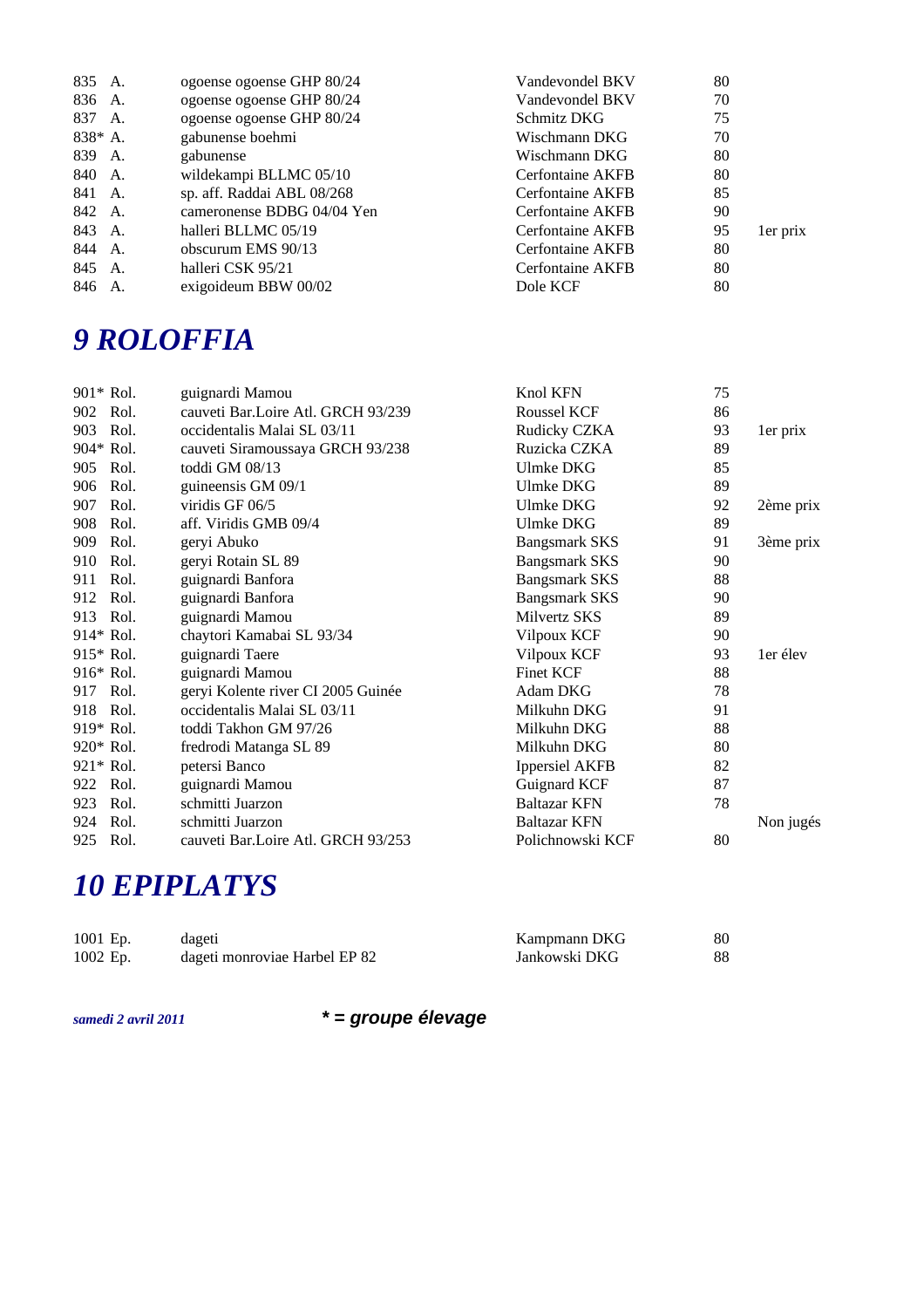| 835 A.    |    | ogoense ogoense GHP 80/24  | Vandevondel BKV         | 80 |          |
|-----------|----|----------------------------|-------------------------|----|----------|
| 836 A.    |    | ogoense ogoense GHP 80/24  | Vandevondel BKV         | 70 |          |
| 837 A.    |    | ogoense ogoense GHP 80/24  | Schmitz DKG             | 75 |          |
| $838* A.$ |    | gabunense boehmi           | Wischmann DKG           | 70 |          |
| 839 A.    |    | gabunense                  | Wischmann DKG           | 80 |          |
| 840 A.    |    | wildekampi BLLMC 05/10     | Cerfontaine AKFB        | 80 |          |
| 841 A.    |    | sp. aff. Raddai ABL 08/268 | Cerfontaine AKFB        | 85 |          |
| 842 A.    |    | cameronense BDBG 04/04 Yen | <b>Cerfontaine AKFB</b> | 90 |          |
| 843 A.    |    | halleri BLLMC 05/19        | <b>Cerfontaine AKFB</b> | 95 | 1er prix |
| 844       | A. | obscurum EMS 90/13         | <b>Cerfontaine AKFB</b> | 80 |          |
| 845 A.    |    | halleri CSK 95/21          | <b>Cerfontaine AKFB</b> | 80 |          |
| 846       | A. | exigoideum BBW 00/02       | Dole KCF                | 80 |          |

### *9 ROLOFFIA*

| 901* Rol. |      | guignardi Mamou                    | Knol KFN              | 75 |           |
|-----------|------|------------------------------------|-----------------------|----|-----------|
| 902       | Rol. | cauveti Bar.Loire Atl. GRCH 93/239 | <b>Roussel KCF</b>    | 86 |           |
| 903       | Rol. | occidentalis Malai SL 03/11        | Rudicky CZKA          | 93 | 1er prix  |
| 904* Rol. |      | cauveti Siramoussaya GRCH 93/238   | Ruzicka CZKA          | 89 |           |
| 905 Rol.  |      | toddi GM 08/13                     | <b>Ulmke DKG</b>      | 85 |           |
| 906       | Rol. | guineensis GM 09/1                 | Ulmke DKG             | 89 |           |
| 907       | Rol. | viridis GF 06/5                    | Ulmke DKG             | 92 | 2ème prix |
| 908       | Rol. | aff. Viridis GMB 09/4              | <b>Ulmke DKG</b>      | 89 |           |
| 909       | Rol. | geryi Abuko                        | <b>Bangsmark SKS</b>  | 91 | 3ème prix |
| 910       | Rol. | geryi Rotain SL 89                 | <b>Bangsmark SKS</b>  | 90 |           |
| 911       | Rol. | guignardi Banfora                  | <b>Bangsmark SKS</b>  | 88 |           |
| 912       | Rol. | guignardi Banfora                  | <b>Bangsmark SKS</b>  | 90 |           |
| 913 Rol.  |      | guignardi Mamou                    | Milvertz SKS          | 89 |           |
| 914* Rol. |      | chaytori Kamabai SL 93/34          | Vilpoux KCF           | 90 |           |
| 915* Rol. |      | guignardi Taere                    | Vilpoux KCF           | 93 | 1er élev  |
| 916* Rol. |      | guignardi Mamou                    | <b>Finet KCF</b>      | 88 |           |
| 917 Rol.  |      | geryi Kolente river CI 2005 Guinée | Adam DKG              | 78 |           |
| 918 Rol.  |      | occidentalis Malai SL 03/11        | Milkuhn DKG           | 91 |           |
| 919* Rol. |      | toddi Takhon GM 97/26              | Milkuhn DKG           | 88 |           |
| 920* Rol. |      | fredrodi Matanga SL 89             | Milkuhn DKG           | 80 |           |
| 921* Rol. |      | petersi Banco                      | <b>Ippersiel AKFB</b> | 82 |           |
| 922 Rol.  |      | guignardi Mamou                    | Guignard KCF          | 87 |           |
| 923       | Rol. | schmitti Juarzon                   | <b>Baltazar KFN</b>   | 78 |           |
| 924 Rol.  |      | schmitti Juarzon                   | Baltazar KFN          |    | Non jugés |
| 925 Rol.  |      | cauveti Bar.Loire Atl. GRCH 93/253 | Polichnowski KCF      | 80 |           |

# *10 EPIPLATYS*

| 1001 Ep. | dageti                        | Kampmann DKG  | 80 |
|----------|-------------------------------|---------------|----|
| 1002 Ep. | dageti monroviae Harbel EP 82 | Jankowski DKG | 88 |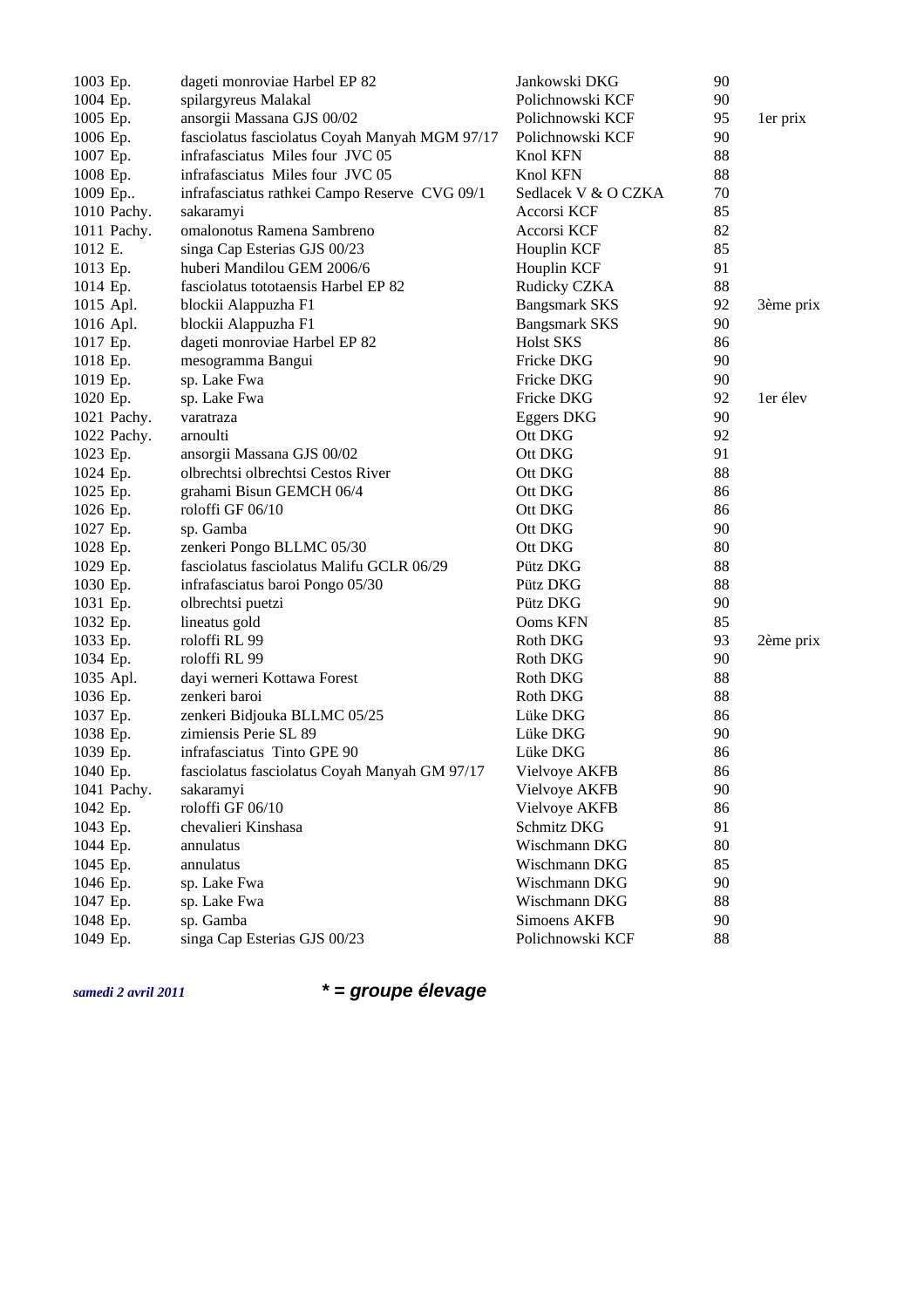| 1003 Ep.    | dageti monroviae Harbel EP 82                  | Jankowski DKG        | 90 |           |
|-------------|------------------------------------------------|----------------------|----|-----------|
| 1004 Ep.    | spilargyreus Malakal                           | Polichnowski KCF     | 90 |           |
| 1005 Ep.    | ansorgii Massana GJS 00/02                     | Polichnowski KCF     | 95 | 1er prix  |
| 1006 Ep.    | fasciolatus fasciolatus Coyah Manyah MGM 97/17 | Polichnowski KCF     | 90 |           |
| 1007 Ep.    | infrafasciatus Miles four JVC 05               | Knol KFN             | 88 |           |
| 1008 Ep.    | infrafasciatus Miles four JVC 05               | Knol KFN             | 88 |           |
| 1009 Ep     | infrafasciatus rathkei Campo Reserve CVG 09/1  | Sedlacek V & O CZKA  | 70 |           |
| 1010 Pachy. | sakaramyi                                      | Accorsi KCF          | 85 |           |
| 1011 Pachy. | omalonotus Ramena Sambreno                     | Accorsi KCF          | 82 |           |
| 1012 E.     | singa Cap Esterias GJS 00/23                   | Houplin KCF          | 85 |           |
| 1013 Ep.    | huberi Mandilou GEM 2006/6                     | Houplin KCF          | 91 |           |
| 1014 Ep.    | fasciolatus tototaensis Harbel EP 82           | Rudicky CZKA         | 88 |           |
| 1015 Apl.   | blockii Alappuzha F1                           | <b>Bangsmark SKS</b> | 92 | 3ème prix |
| 1016 Apl.   | blockii Alappuzha F1                           | <b>Bangsmark SKS</b> | 90 |           |
| 1017 Ep.    | dageti monroviae Harbel EP 82                  | <b>Holst SKS</b>     | 86 |           |
| 1018 Ep.    | mesogramma Bangui                              | Fricke DKG           | 90 |           |
| 1019 Ep.    | sp. Lake Fwa                                   | Fricke DKG           | 90 |           |
| 1020 Ep.    | sp. Lake Fwa                                   | Fricke DKG           | 92 | 1er élev  |
| 1021 Pachy. | varatraza                                      | Eggers DKG           | 90 |           |
| 1022 Pachy. | arnoulti                                       | Ott DKG              | 92 |           |
| 1023 Ep.    | ansorgii Massana GJS 00/02                     | Ott DKG              | 91 |           |
| 1024 Ep.    | olbrechtsi olbrechtsi Cestos River             | Ott DKG              | 88 |           |
| 1025 Ep.    | grahami Bisun GEMCH 06/4                       | Ott DKG              | 86 |           |
| 1026 Ep.    | roloffi GF 06/10                               | Ott DKG              | 86 |           |
| 1027 Ep.    | sp. Gamba                                      | Ott DKG              | 90 |           |
| 1028 Ep.    | zenkeri Pongo BLLMC 05/30                      | Ott DKG              | 80 |           |
| 1029 Ep.    | fasciolatus fasciolatus Malifu GCLR 06/29      | Pütz DKG             | 88 |           |
| 1030 Ep.    | infrafasciatus baroi Pongo 05/30               | Pütz DKG             | 88 |           |
| 1031 Ep.    | olbrechtsi puetzi                              | Pütz DKG             | 90 |           |
| 1032 Ep.    | lineatus gold                                  | Ooms KFN             | 85 |           |
| 1033 Ep.    | roloffi RL 99                                  | Roth DKG             | 93 | 2ème prix |
| 1034 Ep.    | roloffi RL 99                                  | Roth DKG             | 90 |           |
| 1035 Apl.   | dayi werneri Kottawa Forest                    | Roth DKG             | 88 |           |
| 1036 Ep.    | zenkeri baroi                                  | Roth DKG             | 88 |           |
| 1037 Ep.    | zenkeri Bidjouka BLLMC 05/25                   | Lüke DKG             | 86 |           |
| 1038 Ep.    | zimiensis Perie SL 89                          | Lüke DKG             | 90 |           |
| 1039 Ep.    | infrafasciatus Tinto GPE 90                    | Lüke DKG             | 86 |           |
| 1040 Ep.    | fasciolatus fasciolatus Coyah Manyah GM 97/17  | Vielvoye AKFB        | 86 |           |
| 1041 Pachy. | sakaramyi                                      | <b>Vielvoye AKFB</b> | 90 |           |
| 1042 Ep.    | roloffi GF 06/10                               | Vielvoye AKFB        | 86 |           |
| 1043 Ep.    | chevalieri Kinshasa                            | Schmitz DKG          | 91 |           |
| 1044 Ep.    | annulatus                                      | Wischmann DKG        | 80 |           |
| 1045 Ep.    | annulatus                                      | Wischmann DKG        | 85 |           |
| 1046 Ep.    | sp. Lake Fwa                                   | Wischmann DKG        | 90 |           |
| 1047 Ep.    | sp. Lake Fwa                                   | Wischmann DKG        | 88 |           |
| 1048 Ep.    | sp. Gamba                                      | <b>Simoens AKFB</b>  | 90 |           |
| 1049 Ep.    | singa Cap Esterias GJS 00/23                   | Polichnowski KCF     | 88 |           |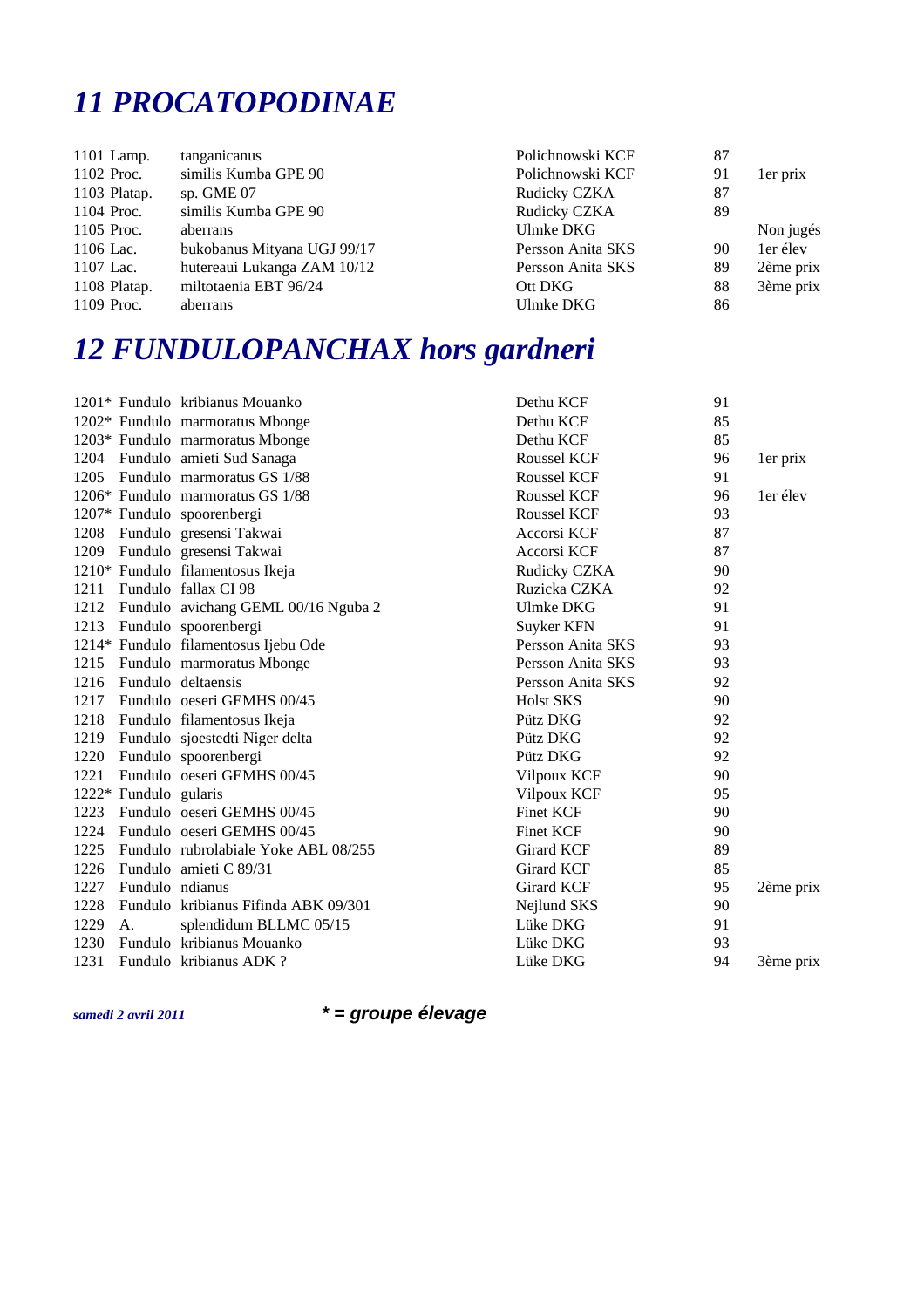#### *11 PROCATOPODINAE*

| 1101 Lamp.   | tanganicanus                | Polichnowski KCF  | 87 |           |
|--------------|-----------------------------|-------------------|----|-----------|
| 1102 Proc.   | similis Kumba GPE 90        | Polichnowski KCF  | 91 | 1er prix  |
| 1103 Platap. | sp. $GME 07$                | Rudicky CZKA      | 87 |           |
| 1104 Proc.   | similis Kumba GPE 90        | Rudicky CZKA      | 89 |           |
| 1105 Proc.   | aberrans                    | Ulmke DKG         |    | Non jugés |
| 1106 Lac.    | bukobanus Mityana UGJ 99/17 | Persson Anita SKS | 90 | 1er élev  |
| 1107 Lac.    | hutereaui Lukanga ZAM 10/12 | Persson Anita SKS | 89 | 2ème prix |
| 1108 Platap. | miltotaenia EBT 96/24       | Ott DKG           | 88 | 3ème prix |
| 1109 Proc.   | aberrans                    | Ulmke DKG         | 86 |           |
|              |                             |                   |    |           |

# *12 FUNDULOPANCHAX hors gardneri*

|      |                       | 1201* Fundulo kribianus Mouanko      | Dethu KCF         | 91 |           |
|------|-----------------------|--------------------------------------|-------------------|----|-----------|
|      |                       | 1202* Fundulo marmoratus Mbonge      | Dethu KCF         | 85 |           |
|      |                       | 1203* Fundulo marmoratus Mbonge      | Dethu KCF         | 85 |           |
|      |                       | 1204 Fundulo amieti Sud Sanaga       | Roussel KCF       | 96 | 1er prix  |
| 1205 |                       | Fundulo marmoratus GS 1/88           | Roussel KCF       | 91 |           |
|      |                       | 1206* Fundulo marmoratus GS 1/88     | Roussel KCF       | 96 | 1er élev  |
|      |                       | 1207* Fundulo spoorenbergi           | Roussel KCF       | 93 |           |
| 1208 |                       | Fundulo gresensi Takwai              | Accorsi KCF       | 87 |           |
| 1209 |                       | Fundulo gresensi Takwai              | Accorsi KCF       | 87 |           |
|      |                       | 1210* Fundulo filamentosus Ikeja     | Rudicky CZKA      | 90 |           |
| 1211 |                       | Fundulo fallax CI 98                 | Ruzicka CZKA      | 92 |           |
| 1212 |                       | Fundulo avichang GEML 00/16 Nguba 2  | <b>Ulmke DKG</b>  | 91 |           |
| 1213 |                       | Fundulo spoorenbergi                 | Suyker KFN        | 91 |           |
|      |                       | 1214* Fundulo filamentosus Ijebu Ode | Persson Anita SKS | 93 |           |
| 1215 |                       | Fundulo marmoratus Mbonge            | Persson Anita SKS | 93 |           |
| 1216 |                       | Fundulo deltaensis                   | Persson Anita SKS | 92 |           |
| 1217 |                       | Fundulo oeseri GEMHS 00/45           | <b>Holst SKS</b>  | 90 |           |
| 1218 |                       | Fundulo filamentosus Ikeja           | Pütz DKG          | 92 |           |
| 1219 |                       | Fundulo sjoestedti Niger delta       | Pütz DKG          | 92 |           |
| 1220 |                       | Fundulo spoorenbergi                 | Pütz DKG          | 92 |           |
| 1221 |                       | Fundulo oeseri GEMHS 00/45           | Vilpoux KCF       | 90 |           |
|      | 1222* Fundulo gularis |                                      | Vilpoux KCF       | 95 |           |
| 1223 |                       | Fundulo oeseri GEMHS 00/45           | <b>Finet KCF</b>  | 90 |           |
| 1224 |                       | Fundulo oeseri GEMHS 00/45           | <b>Finet KCF</b>  | 90 |           |
| 1225 |                       | Fundulo rubrolabiale Yoke ABL 08/255 | <b>Girard KCF</b> | 89 |           |
| 1226 |                       | Fundulo amieti C 89/31               | <b>Girard KCF</b> | 85 |           |
| 1227 | Fundulo ndianus       |                                      | Girard KCF        | 95 | 2ème prix |
| 1228 |                       | Fundulo kribianus Fifinda ABK 09/301 | Nejlund SKS       | 90 |           |
| 1229 | A.                    | splendidum BLLMC 05/15               | Lüke DKG          | 91 |           |
| 1230 |                       | Fundulo kribianus Mouanko            | Lüke DKG          | 93 |           |
| 1231 |                       | Fundulo kribianus ADK?               | Lüke DKG          | 94 | 3ème prix |